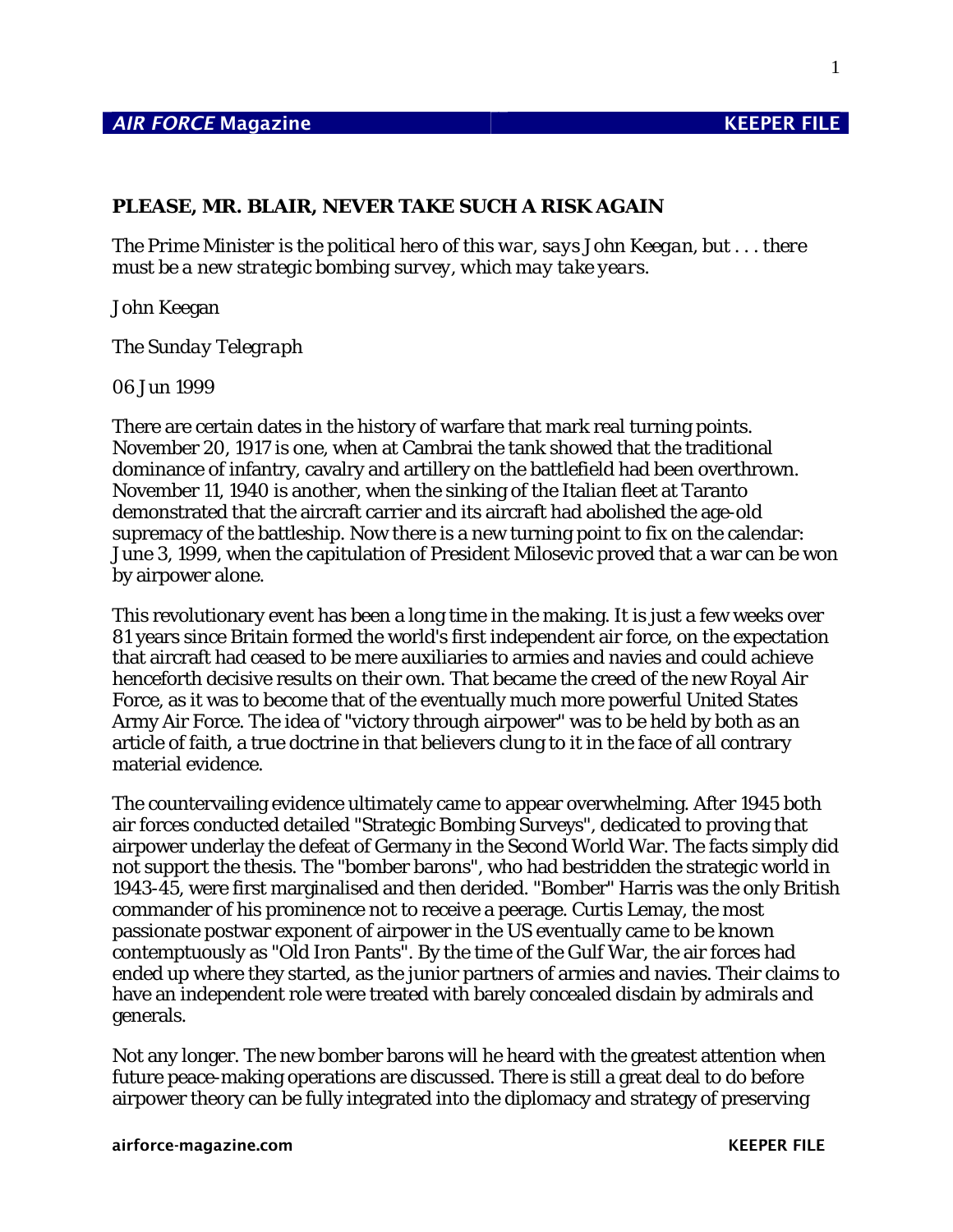## *AIR FORCE* Magazine **KEEPER FILE**

1

## **PLEASE, MR. BLAIR, NEVER TAKE SUCH A RISK AGAIN**

*The Prime Minister is the political hero of this war, says John Keegan, but . . . there must be a new strategic bombing survey, which may take years.* 

John Keegan

*The Sunday Telegraph* 

06 Jun 1999

There are certain dates in the history of warfare that mark real turning points. November 20, 1917 is one, when at Cambrai the tank showed that the traditional dominance of infantry, cavalry and artillery on the battlefield had been overthrown. November 11, 1940 is another, when the sinking of the Italian fleet at Taranto demonstrated that the aircraft carrier and its aircraft had abolished the age-old supremacy of the battleship. Now there is a new turning point to fix on the calendar: June 3, 1999, when the capitulation of President Milosevic proved that a war can be won by airpower alone.

This revolutionary event has been a long time in the making. It is just a few weeks over 81 years since Britain formed the world's first independent air force, on the expectation that aircraft had ceased to be mere auxiliaries to armies and navies and could achieve henceforth decisive results on their own. That became the creed of the new Royal Air Force, as it was to become that of the eventually much more powerful United States Army Air Force. The idea of "victory through airpower" was to be held by both as an article of faith, a true doctrine in that believers clung to it in the face of all contrary material evidence.

The countervailing evidence ultimately came to appear overwhelming. After 1945 both air forces conducted detailed "Strategic Bombing Surveys", dedicated to proving that airpower underlay the defeat of Germany in the Second World War. The facts simply did not support the thesis. The "bomber barons", who had bestridden the strategic world in 1943-45, were first marginalised and then derided. "Bomber" Harris was the only British commander of his prominence not to receive a peerage. Curtis Lemay, the most passionate postwar exponent of airpower in the US eventually came to be known contemptuously as "Old Iron Pants". By the time of the Gulf War, the air forces had ended up where they started, as the junior partners of armies and navies. Their claims to have an independent role were treated with barely concealed disdain by admirals and generals.

Not any longer. The new bomber barons will he heard with the greatest attention when future peace-making operations are discussed. There is still a great deal to do before airpower theory can be fully integrated into the diplomacy and strategy of preserving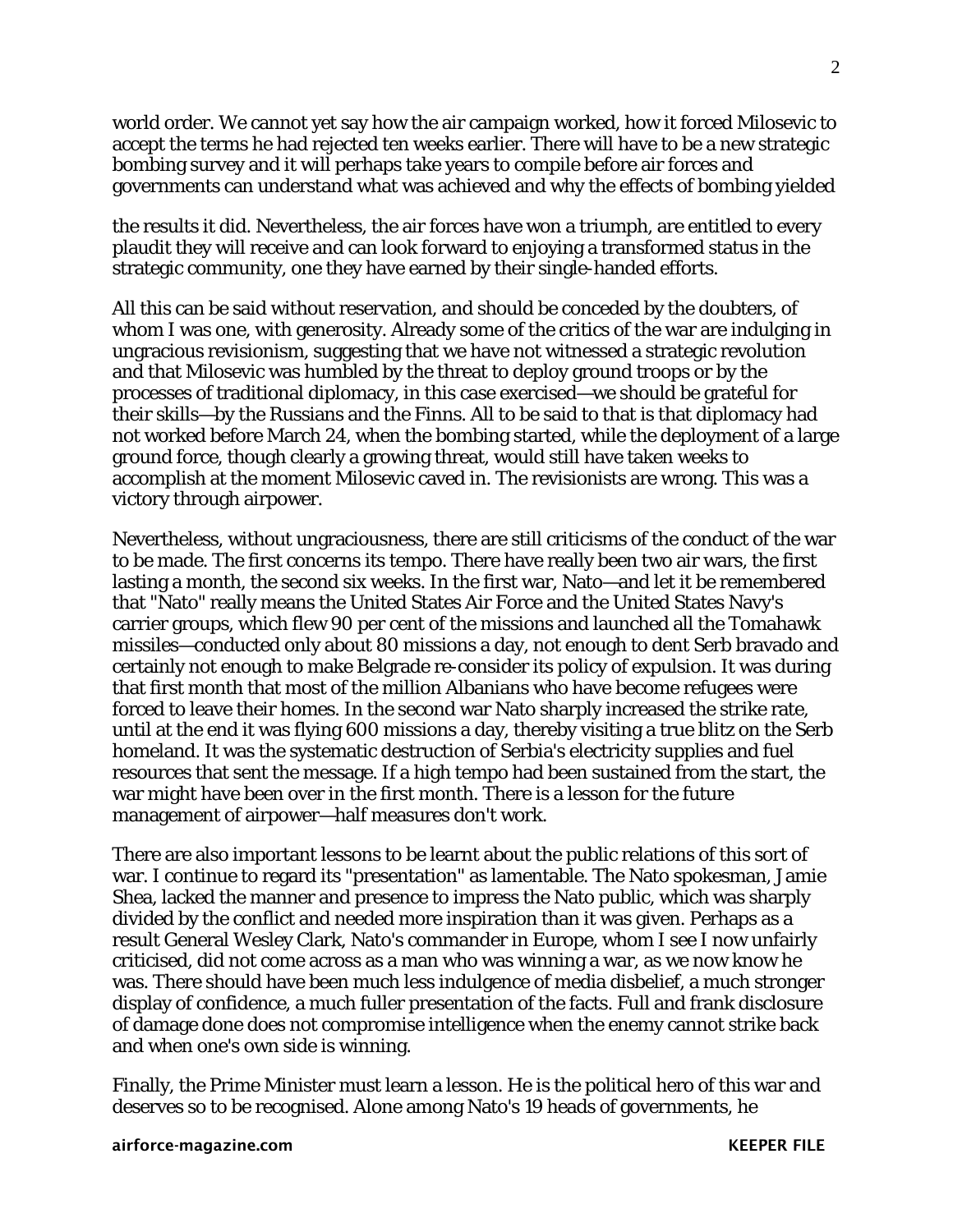world order. We cannot yet say how the air campaign worked, how it forced Milosevic to accept the terms he had rejected ten weeks earlier. There will have to be a new strategic bombing survey and it will perhaps take years to compile before air forces and governments can understand what was achieved and why the effects of bombing yielded

the results it did. Nevertheless, the air forces have won a triumph, are entitled to every plaudit they will receive and can look forward to enjoying a transformed status in the strategic community, one they have earned by their single-handed efforts.

All this can be said without reservation, and should be conceded by the doubters, of whom I was one, with generosity. Already some of the critics of the war are indulging in ungracious revisionism, suggesting that we have not witnessed a strategic revolution and that Milosevic was humbled by the threat to deploy ground troops or by the processes of traditional diplomacy, in this case exercised—we should be grateful for their skills—by the Russians and the Finns. All to be said to that is that diplomacy had not worked before March 24, when the bombing started, while the deployment of a large ground force, though clearly a growing threat, would still have taken weeks to accomplish at the moment Milosevic caved in. The revisionists are wrong. This was a victory through airpower.

Nevertheless, without ungraciousness, there are still criticisms of the conduct of the war to be made. The first concerns its tempo. There have really been two air wars, the first lasting a month, the second six weeks. In the first war, Nato—and let it be remembered that "Nato" really means the United States Air Force and the United States Navy's carrier groups, which flew 90 per cent of the missions and launched all the Tomahawk missiles—conducted only about 80 missions a day, not enough to dent Serb bravado and certainly not enough to make Belgrade re-consider its policy of expulsion. It was during that first month that most of the million Albanians who have become refugees were forced to leave their homes. In the second war Nato sharply increased the strike rate, until at the end it was flying 600 missions a day, thereby visiting a true blitz on the Serb homeland. It was the systematic destruction of Serbia's electricity supplies and fuel resources that sent the message. If a high tempo had been sustained from the start, the war might have been over in the first month. There is a lesson for the future management of airpower—half measures don't work.

There are also important lessons to be learnt about the public relations of this sort of war. I continue to regard its "presentation" as lamentable. The Nato spokesman, Jamie Shea, lacked the manner and presence to impress the Nato public, which was sharply divided by the conflict and needed more inspiration than it was given. Perhaps as a result General Wesley Clark, Nato's commander in Europe, whom I see I now unfairly criticised, did not come across as a man who was winning a war, as we now know he was. There should have been much less indulgence of media disbelief, a much stronger display of confidence, a much fuller presentation of the facts. Full and frank disclosure of damage done does not compromise intelligence when the enemy cannot strike back and when one's own side is winning.

Finally, the Prime Minister must learn a lesson. He is the political hero of this war and deserves so to be recognised. Alone among Nato's 19 heads of governments, he